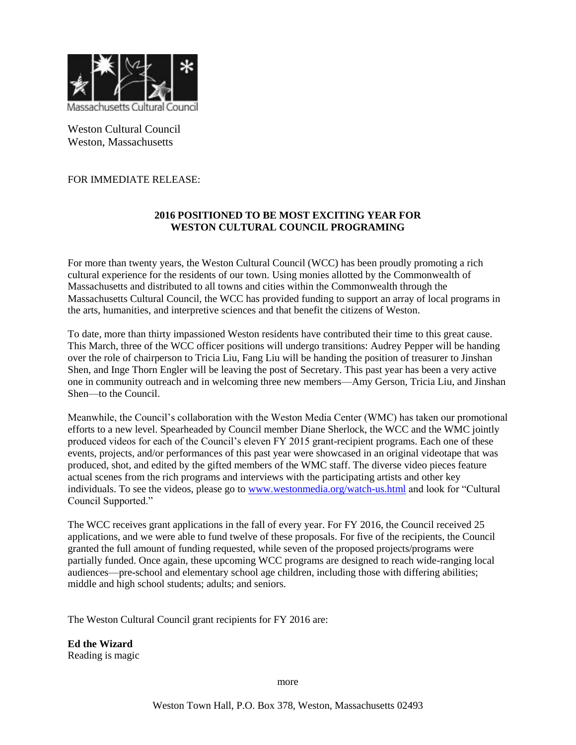

Weston Cultural Council Weston, Massachusetts

FOR IMMEDIATE RELEASE:

## **2016 POSITIONED TO BE MOST EXCITING YEAR FOR WESTON CULTURAL COUNCIL PROGRAMING**

For more than twenty years, the Weston Cultural Council (WCC) has been proudly promoting a rich cultural experience for the residents of our town. Using monies allotted by the Commonwealth of Massachusetts and distributed to all towns and cities within the Commonwealth through the Massachusetts Cultural Council, the WCC has provided funding to support an array of local programs in the arts, humanities, and interpretive sciences and that benefit the citizens of Weston.

To date, more than thirty impassioned Weston residents have contributed their time to this great cause. This March, three of the WCC officer positions will undergo transitions: Audrey Pepper will be handing over the role of chairperson to Tricia Liu, Fang Liu will be handing the position of treasurer to Jinshan Shen, and Inge Thorn Engler will be leaving the post of Secretary. This past year has been a very active one in community outreach and in welcoming three new members—Amy Gerson, Tricia Liu, and Jinshan Shen—to the Council.

Meanwhile, the Council's collaboration with the Weston Media Center (WMC) has taken our promotional efforts to a new level. Spearheaded by Council member Diane Sherlock, the WCC and the WMC jointly produced videos for each of the Council's eleven FY 2015 grant-recipient programs. Each one of these events, projects, and/or performances of this past year were showcased in an original videotape that was produced, shot, and edited by the gifted members of the WMC staff. The diverse video pieces feature actual scenes from the rich programs and interviews with the participating artists and other key individuals. To see the videos, please go to [www.westonmedia.org/watch-us.html](http://www.westonmedia.org/watch-us.html) and look for "Cultural Council Supported."

The WCC receives grant applications in the fall of every year. For FY 2016, the Council received 25 applications, and we were able to fund twelve of these proposals. For five of the recipients, the Council granted the full amount of funding requested, while seven of the proposed projects/programs were partially funded. Once again, these upcoming WCC programs are designed to reach wide-ranging local audiences—pre-school and elementary school age children, including those with differing abilities; middle and high school students; adults; and seniors.

The Weston Cultural Council grant recipients for FY 2016 are:

**Ed the Wizard** Reading is magic